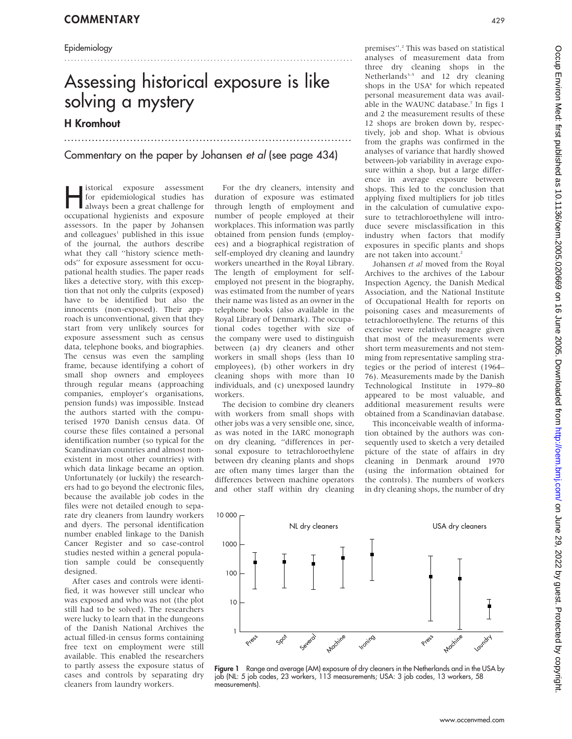#### Epidemiology

## Assessing historical exposure is like solving a mystery H Kromhout

.......................................................................................

...................................................................................

Commentary on the paper by Johansen et al (see page 434)

**Hermitted Exposure assessment**<br>for epidemiological studies has<br>always been a great challenge for for epidemiological studies has occupational hygienists and exposure assessors. In the paper by Johansen and colleagues<sup>1</sup> published in this issue of the journal, the authors describe what they call ''history science methods'' for exposure assessment for occupational health studies. The paper reads likes a detective story, with this exception that not only the culprits (exposed) have to be identified but also the innocents (non-exposed). Their approach is unconventional, given that they start from very unlikely sources for exposure assessment such as census data, telephone books, and biographies. The census was even the sampling frame, because identifying a cohort of small shop owners and employees through regular means (approaching companies, employer's organisations, pension funds) was impossible. Instead the authors started with the computerised 1970 Danish census data. Of course these files contained a personal identification number (so typical for the Scandinavian countries and almost nonexistent in most other countries) with which data linkage became an option. Unfortunately (or luckily) the researchers had to go beyond the electronic files, because the available job codes in the files were not detailed enough to separate dry cleaners from laundry workers and dyers. The personal identification number enabled linkage to the Danish Cancer Register and so case-control studies nested within a general population sample could be consequently designed.

After cases and controls were identified, it was however still unclear who was exposed and who was not (the plot still had to be solved). The researchers were lucky to learn that in the dungeons of the Danish National Archives the actual filled-in census forms containing free text on employment were still available. This enabled the researchers to partly assess the exposure status of cases and controls by separating dry cleaners from laundry workers.

For the dry cleaners, intensity and duration of exposure was estimated through length of employment and number of people employed at their workplaces. This information was partly obtained from pension funds (employees) and a biographical registration of self-employed dry cleaning and laundry workers unearthed in the Royal Library. The length of employment for selfemployed not present in the biography, was estimated from the number of years their name was listed as an owner in the telephone books (also available in the Royal Library of Denmark). The occupational codes together with size of the company were used to distinguish between (a) dry cleaners and other workers in small shops (less than 10 employees), (b) other workers in dry cleaning shops with more than 10 individuals, and (c) unexposed laundry workers.

The decision to combine dry cleaners with workers from small shops with other jobs was a very sensible one, since, as was noted in the IARC monograph on dry cleaning, ''differences in personal exposure to tetrachloroethylene between dry cleaning plants and shops are often many times larger than the differences between machine operators and other staff within dry cleaning

premises".<sup>2</sup> This was based on statistical analyses of measurement data from three dry cleaning shops in the Netherlands $3-5$  and 12 dry cleaning shops in the USA<sup>6</sup> for which repeated personal measurement data was available in the WAUNC database.<sup>7</sup> In figs 1 and 2 the measurement results of these 12 shops are broken down by, respectively, job and shop. What is obvious from the graphs was confirmed in the analyses of variance that hardly showed between-job variability in average exposure within a shop, but a large difference in average exposure between shops. This led to the conclusion that applying fixed multipliers for job titles in the calculation of cumulative exposure to tetrachloroethylene will introduce severe misclassification in this industry when factors that modify exposures in specific plants and shops are not taken into account.<sup>2</sup>

Johansen et al moved from the Royal Archives to the archives of the Labour Inspection Agency, the Danish Medical Association, and the National Institute of Occupational Health for reports on poisoning cases and measurements of tetrachloroethylene. The returns of this exercise were relatively meagre given that most of the measurements were short term measurements and not stemming from representative sampling strategies or the period of interest (1964– 76). Measurements made by the Danish Technological Institute in 1979–80 appeared to be most valuable, and additional measurement results were obtained from a Scandinavian database.

This inconceivable wealth of information obtained by the authors was consequently used to sketch a very detailed picture of the state of affairs in dry cleaning in Denmark around 1970 (using the information obtained for the controls). The numbers of workers in dry cleaning shops, the number of dry



Figure 1 Range and average (AM) exposure of dry cleaners in the Netherlands and in the USA by job (NL: 5 job codes, 23 workers, 113 measurements; USA: 3 job codes, 13 workers, 58 measurements).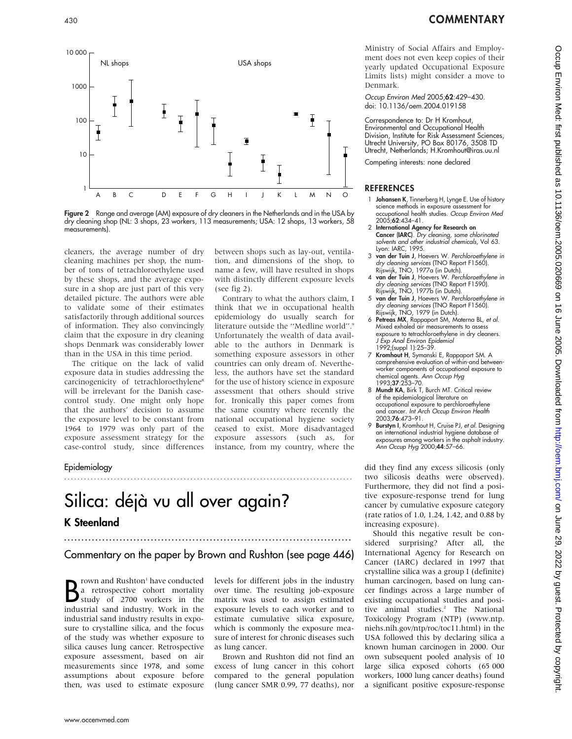



Figure 2 Range and average (AM) exposure of dry cleaners in the Netherlands and in the USA by dry cleaning shop (NL: 3 shops, 23 workers, 113 measurements; USA: 12 shops, 13 workers, 58 measurements).

(see fig 2).

cleaners, the average number of dry cleaning machines per shop, the number of tons of tetrachloroethylene used by these shops, and the average exposure in a shop are just part of this very detailed picture. The authors were able to validate some of their estimates satisfactorily through additional sources of information. They also convincingly claim that the exposure in dry cleaning shops Denmark was considerably lower than in the USA in this time period.

The critique on the lack of valid exposure data in studies addressing the carcinogenicity of tetrachloroethylene<sup>8</sup> will be irrelevant for the Danish casecontrol study. One might only hope that the authors' decision to assume the exposure level to be constant from 1964 to 1979 was only part of the exposure assessment strategy for the case-control study, since differences

#### Epidemiology

# Silica: déjà vu all over again? K Steenland

#### Commentary on the paper by Brown and Rushton (see page 446)

.......................................................................................

**B** rown and Rushton' have conducted<br>a retrospective cohort mortality<br>study of 2700 workers in the<br>industrial sand industry. Work in the rown and Rushton<sup>1</sup> have conducted a retrospective cohort mortality study of 2700 workers in the industrial sand industry results in exposure to crystalline silica, and the focus of the study was whether exposure to silica causes lung cancer. Retrospective exposure assessment, based on air measurements since 1978, and some assumptions about exposure before then, was used to estimate exposure

...................................................................................

levels for different jobs in the industry over time. The resulting job-exposure matrix was used to assign estimated exposure levels to each worker and to estimate cumulative silica exposure, which is commonly the exposure measure of interest for chronic diseases such as lung cancer.

between shops such as lay-out, ventilation, and dimensions of the shop, to name a few, will have resulted in shops with distinctly different exposure levels

Contrary to what the authors claim, I think that we in occupational health epidemiology do usually search for literature outside the "Medline world".<sup>9</sup> Unfortunately the wealth of data available to the authors in Denmark is something exposure assessors in other countries can only dream of. Nevertheless, the authors have set the standard for the use of history science in exposure assessment that others should strive for. Ironically this paper comes from the same country where recently the national occupational hygiene society ceased to exist. More disadvantaged exposure assessors (such as, for instance, from my country, where the

Brown and Rushton did not find an excess of lung cancer in this cohort compared to the general population (lung cancer SMR 0.99, 77 deaths), nor

Ministry of Social Affairs and Employment does not even keep copies of their yearly updated Occupational Exposure Limits lists) might consider a move to Denmark.

Occup Environ Med 2005;62:429–430. doi: 10.1136/oem.2004.019158

Correspondence to: Dr H Kromhout, Environmental and Occupational Health Division, Institute for Risk Assessment Sciences, Utrecht University, PO Box 80176, 3508 TD Utrecht, Netherlands; H.Kromhout@iras.uu.nl

Competing interests: none declared

#### REFERENCES

- 1 **Johansen K**, Tinnerberg H, Lynge E. Use of history science methods in exposure assessment for occupational health studies. Occup Environ Med 2005;62:434–41.
- 2 International Agency for Research on Cancer (IARC). Dry cleaning, some chlorinated solvents and other industrial chemicals, Vol 63. Lyon: IARC, 1995.
- 3 van der Tuin J, Hoevers W. Perchloroethylene in dry cleaning services (TNO Report F1560). Rijswijk, TNO, 1977a (in Dutch).
- 4 van der Tuin J, Hoevers W. Perchloroethylene in dry cleaning services (TNO Report F1590).
- Rijswijk, TNO, 1977b (in Dutch).<br>5 **van der Tuin J**, Hoevers W. *Perchloroethylene in* dry cleaning services (TNO Report F1560). Rijswijk, TNO, 1979 (in Dutch).
- Petreas MX, Rappaport SM, Materna BL, et al. Mixed exhaled air measurements to assess exposure to tetrachloroethylene in dry cleaners. J Exp Anal Environ Epidemiol 1992;(suppl 1):25–39.
- 7 Kromhout H, Symanski E, Rappaport SM. A comprehensive evaluation of within-and betweenworker components of occupational exposure to chemical agents. *Ann Occup Hyg*<br>1993;**37**:253–70.
- 8 Mundt KA, Birk T, Burch MT. Critical review of the epidemiological literature on occupational exposure to perchloroethylene and cancer. Int Arch Occup Environ Health 2003;76:473–91.
- 9 Burstyn I, Kromhout H, Cruise PJ, et al. Designing an international industrial hygiene database of exposures among workers in the asphalt industry.<br>Ann Occup Hyg 2000;**44**:57–66.

did they find any excess silicosis (only two silicosis deaths were observed). Furthermore, they did not find a positive exposure-response trend for lung cancer by cumulative exposure category (rate ratios of 1.0, 1.24, 1.42, and 0.88 by increasing exposure).

Should this negative result be considered surprising? After all, the International Agency for Research on Cancer (IARC) declared in 1997 that crystalline silica was a group I (definite) human carcinogen, based on lung cancer findings across a large number of existing occupational studies and positive animal studies.<sup>2</sup> The National Toxicology Program (NTP) (www.ntp. niehs.nih.gov/ntp/roc/toc11.html) in the USA followed this by declaring silica a known human carcinogen in 2000. Our own subsequent pooled analysis of 10 large silica exposed cohorts (65 000 workers, 1000 lung cancer deaths) found a significant positive exposure-response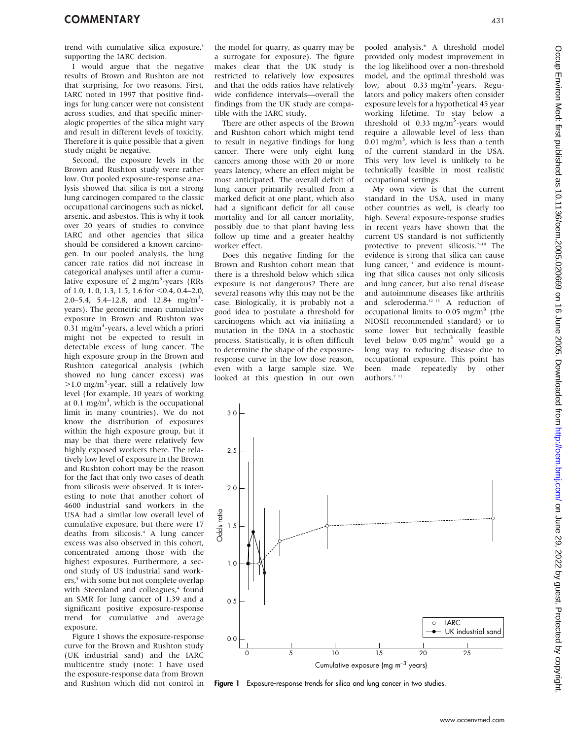trend with cumulative silica exposure,<sup>3</sup> supporting the IARC decision.

I would argue that the negative results of Brown and Rushton are not that surprising, for two reasons. First, IARC noted in 1997 that positive findings for lung cancer were not consistent across studies, and that specific mineralogic properties of the silica might vary and result in different levels of toxicity. Therefore it is quite possible that a given study might be negative.

Second, the exposure levels in the Brown and Rushton study were rather low. Our pooled exposure-response analysis showed that silica is not a strong lung carcinogen compared to the classic occupational carcinogens such as nickel, arsenic, and asbestos. This is why it took over 20 years of studies to convince IARC and other agencies that silica should be considered a known carcinogen. In our pooled analysis, the lung cancer rate ratios did not increase in categorical analyses until after a cumulative exposure of 2 mg/m<sup>3</sup>-years (RRs of 1.0, 1.0, 1.3, 1.5, 1.6 for <0.4, 0.4–2.0, 2.0–5.4, 5.4–12.8, and  $12.8 + \text{mg/m}^3$ years). The geometric mean cumulative exposure in Brown and Rushton was  $0.\overline{3}1$  mg/m<sup>3</sup>-years, a level which a priori might not be expected to result in detectable excess of lung cancer. The high exposure group in the Brown and Rushton categorical analysis (which showed no lung cancer excess) was >1.0 mg/m<sup>3</sup>-year, still a relatively low level (for example, 10 years of working at 0.1 mg/m<sup>3</sup>, which is the occupational limit in many countries). We do not know the distribution of exposures within the high exposure group, but it may be that there were relatively few highly exposed workers there. The relatively low level of exposure in the Brown and Rushton cohort may be the reason for the fact that only two cases of death from silicosis were observed. It is interesting to note that another cohort of 4600 industrial sand workers in the USA had a similar low overall level of cumulative exposure, but there were 17 deaths from silicosis.<sup>4</sup> A lung cancer excess was also observed in this cohort, concentrated among those with the highest exposures. Furthermore, a second study of US industrial sand workers,<sup>5</sup> with some but not complete overlap with Steenland and colleagues,<sup>4</sup> found an SMR for lung cancer of 1.39 and a significant positive exposure-response trend for cumulative and average exposure.

Figure 1 shows the exposure-response curve for the Brown and Rushton study (UK industrial sand) and the IARC multicentre study (note: I have used the exposure-response data from Brown and Rushton which did not control in the model for quarry, as quarry may be a surrogate for exposure). The figure makes clear that the UK study is restricted to relatively low exposures and that the odds ratios have relatively wide confidence intervals—overall the findings from the UK study are compatible with the IARC study.

There are other aspects of the Brown and Rushton cohort which might tend to result in negative findings for lung cancer. There were only eight lung cancers among those with 20 or more years latency, where an effect might be most anticipated. The overall deficit of lung cancer primarily resulted from a marked deficit at one plant, which also had a significant deficit for all cause mortality and for all cancer mortality, possibly due to that plant having less follow up time and a greater healthy worker effect.

Does this negative finding for the Brown and Rushton cohort mean that there is a threshold below which silica exposure is not dangerous? There are several reasons why this may not be the case. Biologically, it is probably not a good idea to postulate a threshold for carcinogens which act via initiating a mutation in the DNA in a stochastic process. Statistically, it is often difficult to determine the shape of the exposureresponse curve in the low dose reason, even with a large sample size. We looked at this question in our own

pooled analysis.6 A threshold model provided only modest improvement in the log likelihood over a non-threshold model, and the optimal threshold was low, about 0.33 mg/m<sup>3</sup>-years. Regulators and policy makers often consider exposure levels for a hypothetical 45 year working lifetime. To stay below a threshold of  $0.33$  mg/m<sup>3</sup>-years would require a allowable level of less than  $0.01$  mg/m<sup>3</sup>, which is less than a tenth of the current standard in the USA. This very low level is unlikely to be technically feasible in most realistic occupational settings.

My own view is that the current standard in the USA, used in many other countries as well, is clearly too high. Several exposure-response studies in recent years have shown that the current US standard is not sufficiently protective to prevent silicosis. $7-10$  The evidence is strong that silica can cause lung cancer,<sup>11</sup> and evidence is mounting that silica causes not only silicosis and lung cancer, but also renal disease and autoimmune diseases like arthritis and scleroderma.12 13 A reduction of occupational limits to  $0.05$  mg/m<sup>3</sup> (the NIOSH recommended standard) or to some lower but technically feasible level below 0.05 mg/m<sup>3</sup> would go a long way to reducing disease due to occupational exposure. This point has been made repeatedly by other authors.<sup> $711$ </sup>



Figure 1 Exposure-response trends for silica and lung cancer in two studies.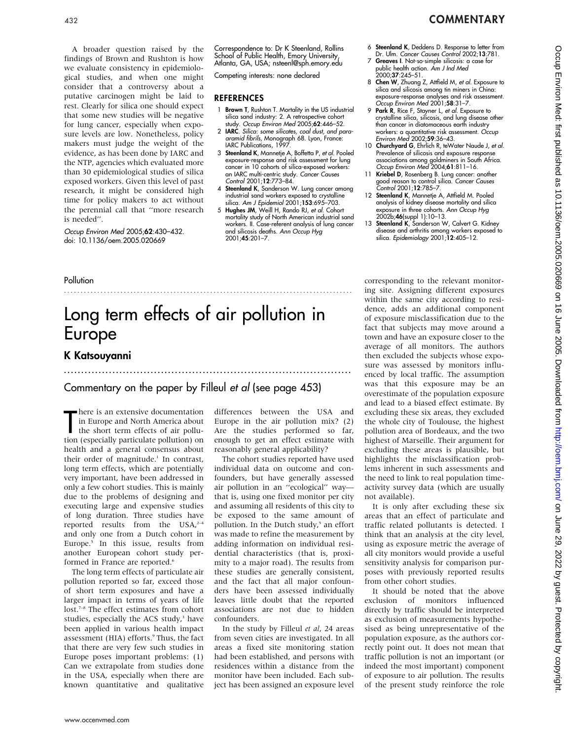### <sup>432</sup> COMMENTARY

A broader question raised by the findings of Brown and Rushton is how we evaluate consistency in epidemiological studies, and when one might consider that a controversy about a putative carcinogen might be laid to rest. Clearly for silica one should expect that some new studies will be negative for lung cancer, especially when exposure levels are low. Nonetheless, policy makers must judge the weight of the evidence, as has been done by IARC and the NTP, agencies which evaluated more than 30 epidemiological studies of silica exposed workers. Given this level of past research, it might be considered high time for policy makers to act without the perennial call that ''more research is needed''.

Occup Environ Med 2005;62:430–432. doi: 10.1136/oem.2005.020669

Correspondence to: Dr K Steenland, Rollins School of Public Health, Emory University, Atlanta, GA, USA; nsteenl@sph.emory.edu

Competing interests: none declared

#### REFERENCES

- 1 Brown T, Rushton T. Mortality in the US industrial silica sand industry: 2. A retrospective cohort study. Occup Environ Med 2005;62:446–52.
- 2 IARC. Silica: some silicates, coal dust, and paraaramid fibrils, Monograph 68. Lyon, France: IARC Publications, 1997.
- 3 Steenland K, Mannetje A, Boffetta P, et al. Pooled exposure-response and risk assessment for lung cancer in 10 cohorts of silica-exposed workers: an IARC multi-centric study. Cancer Causes Control 2001;12:773–84.
- 4 Steenland K, Sanderson W. Lung cancer among industrial sand workers exposed to crystalline silica. Am J Epidemiol 2001;153:695–703.
- 5 Hughes JM, Weill H, Rando RJ, et al. Cohort mortality study of North American industrial sand workers. II. Case-referent analysis of lung cancer and silicosis deaths. Ann Occup Hyg 2001;45:201–7.
- 6 Steenland K, Deddens D. Response to letter from
- Dr. Ulm. Cancer Causes Control 2002;13:781. 7 Greaves I. Not-so-simple silicosis: a case for
- public health action. *Am J Ind Med*<br>2000;**37**:245–51.
- 8 Chen W, Zhuang Z, Attfield M, et al. Exposure to silica and silicosis among tin miners in China: exposure-response analyses and risk assessment. Occup Environ Med 2001;58:31–7.
- 9 Park R, Rice F, Stayner L, et al. Exposure to crystalline silica, silicosis, and lung disease other than cancer in diatomaceous earth industry workers: a quantitative risk assessment. Occup Environ Med 2002;59:36–43.
- 10 Churchyard G, Ehrlich R, teWater Naude J, et al. Prevalence of silicosis and exposure response associations among goldminers in South Africa. Occup Environ Med 2004;61:811–16.
- 11 Kriebel D, Rosenberg B. Lung cancer: another good reason to control silica. Cancer Causes Control 2001;12:785–7.
- 12 Steenland K, Mannetje A, Attfield M. Pooled analysis of kidney disease mortality and silica exposure in three cohorts. Ann Occup Hyg 2002b;46(suppl 1):10–13.
- 13 Steenland K, Sanderson W, Calvert G. Kidney disease and arthritis among workers exposed to silica. Epidemiology 2001;12:405–12.

#### **Pollution**

# Long term effects of air pollution in Europe

.......................................................................................

...................................................................................

#### K Katsouyanni

### Commentary on the paper by Filleul et al (see page 453)

There is an extensive documentation<br>in Europe and North America about<br>the short term effects of air pollu-<br>tion (especially particulate pollution) on here is an extensive documentation in Europe and North America about the short term effects of air polluhealth and a general consensus about their order of magnitude.<sup>1</sup> In contrast, long term effects, which are potentially very important, have been addressed in only a few cohort studies. This is mainly due to the problems of designing and executing large and expensive studies of long duration. Three studies have reported results from the  $USA^{2-4}$ and only one from a Dutch cohort in Europe.5 In this issue, results from another European cohort study performed in France are reported.<sup>6</sup>

The long term effects of particulate air pollution reported so far, exceed those of short term exposures and have a larger impact in terms of years of life lost.<sup>7-8</sup> The effect estimates from cohort studies, especially the ACS study,<sup>3</sup> have been applied in various health impact assessment (HIA) efforts.<sup>9</sup> Thus, the fact that there are very few such studies in Europe poses important problems: (1) Can we extrapolate from studies done in the USA, especially when there are known quantitative and qualitative

differences between the USA and Europe in the air pollution mix? (2) Are the studies performed so far, enough to get an effect estimate with reasonably general applicability?

The cohort studies reported have used individual data on outcome and confounders, but have generally assessed air pollution in an ''ecological'' way that is, using one fixed monitor per city and assuming all residents of this city to be exposed to the same amount of pollution. In the Dutch study,<sup>5</sup> an effort was made to refine the measurement by adding information on individual residential characteristics (that is, proximity to a major road). The results from these studies are generally consistent, and the fact that all major confounders have been assessed individually leaves little doubt that the reported associations are not due to hidden confounders.

In the study by Filleul et al, 24 areas from seven cities are investigated. In all areas a fixed site monitoring station had been established, and persons with residences within a distance from the monitor have been included. Each subject has been assigned an exposure level corresponding to the relevant monitoring site. Assigning different exposures within the same city according to residence, adds an additional component of exposure misclassification due to the fact that subjects may move around a town and have an exposure closer to the average of all monitors. The authors then excluded the subjects whose exposure was assessed by monitors influenced by local traffic. The assumption was that this exposure may be an overestimate of the population exposure and lead to a biased effect estimate. By excluding these six areas, they excluded the whole city of Toulouse, the highest pollution area of Bordeaux, and the two highest of Marseille. Their argument for excluding these areas is plausible, but highlights the misclassification problems inherent in such assessments and the need to link to real population timeactivity survey data (which are usually not available).

It is only after excluding these six areas that an effect of particulate and traffic related pollutants is detected. I think that an analysis at the city level, using as exposure metric the average of all city monitors would provide a useful sensitivity analysis for comparison purposes with previously reported results from other cohort studies.

It should be noted that the above exclusion of monitors influenced directly by traffic should be interpreted as exclusion of measurements hypothesised as being unrepresentative of the population exposure, as the authors correctly point out. It does not mean that traffic pollution is not an important (or indeed the most important) component of exposure to air pollution. The results of the present study reinforce the role